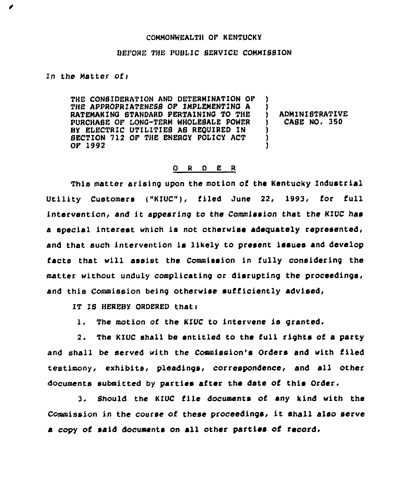## COMMONWEALTH OP KENTUCKY

## BEPORE THE PUBLIC SERVICE COMMISSION

In the Matter ofi

THE CONSIDERATION AND DETERMINATION OP THE APPROPRIATENESS OP IMPLEMENTINQ A RATEMAKINQ STANDARD PERTAININQ TO THE PURCHASE OP LONG-TERM WHOLESALE POWER BY ELECTRIC UTILITIES AS REQUIRED IN SECTION 712 OP THE ENERQY POLICY ACT OP 1992 ) ) ADMINISTRATIVE ) CASE NO, 350 ) ) )

## 0 <sup>R</sup> <sup>D</sup> E <sup>R</sup>

This matter arising upon the motion of the Kentucky Industrial Utility Customers [ "KIUC"), filed June 22, 1993, for full intervention, and it appearing to the Commission that the KIUC has a special interest which is not otherwise adequately represented, and that such intervention is likely to present issues and develop facts that will assist the Commission in fully considering the matter without unduly complicating or disrupting the proceedings, and this Commission being otherwise sufficiently advised,

IT IS HEREBY ORDERED thati

1. The motion of the KIUC to intervene is granted.

2. The KIUC shall be entitled to the full rights of a party and shall be served with the Commission's Orders and with filed testimony, exhibits, pleadings, correspondence, and all other documents submitted by parties after the date of this Order.

3. Should the KIUC file documents of any kind with the Commission in the course of these proceedings, it shall also serve a copy of said documents on all other parties of record,